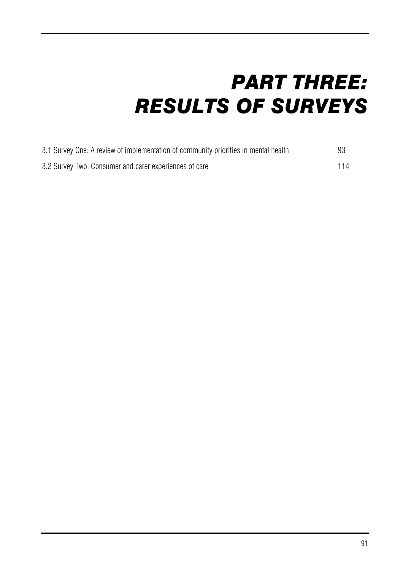# *PART THREE: RESULTS OF SURVEYS*

| 3.1 Survey One: A review of implementation of community priorities in mental health |  |
|-------------------------------------------------------------------------------------|--|
| 3.2 Survey Two: Consumer and carer experiences of care                              |  |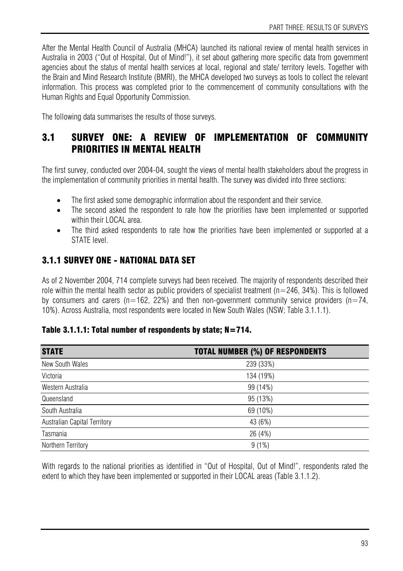After the Mental Health Council of Australia (MHCA) launched its national review of mental health services in Australia in 2003 ("Out of Hospital, Out of Mind!"), it set about gathering more specific data from government agencies about the status of mental health services at local, regional and state/ territory levels. Together with the Brain and Mind Research Institute (BMRI), the MHCA developed two surveys as tools to collect the relevant information. This process was completed prior to the commencement of community consultations with the Human Rights and Equal Opportunity Commission.

The following data summarises the results of those surveys.

# 3.1 SURVEY ONE: A REVIEW OF IMPLEMENTATION OF COMMUNITY PRIORITIES IN MENTAL HEALTH

The first survey, conducted over 2004-04, sought the views of mental health stakeholders about the progress in the implementation of community priorities in mental health. The survey was divided into three sections:

- The first asked some demographic information about the respondent and their service.
- The second asked the respondent to rate how the priorities have been implemented or supported within their LOCAL area.
- The third asked respondents to rate how the priorities have been implemented or supported at a STATE level.

## 3.1.1 SURVEY ONE - NATIONAL DATA SET

As of 2 November 2004, 714 complete surveys had been received. The majority of respondents described their role within the mental health sector as public providers of specialist treatment ( $n=246$ , 34%). This is followed by consumers and carers ( $n=162$ , 22%) and then non-government community service providers ( $n=74$ , 10%). Across Australia, most respondents were located in New South Wales (NSW; Table 3.1.1.1).

### Table 3.1.1.1: Total number of respondents by state; N=714.

| <b>STATE</b>                 | <b>TOTAL NUMBER (%) OF RESPONDENTS</b> |
|------------------------------|----------------------------------------|
| New South Wales              | 239 (33%)                              |
| Victoria                     | 134 (19%)                              |
| Western Australia            | 99 (14%)                               |
| Queensland                   | 95 (13%)                               |
| South Australia              | 69 (10%)                               |
| Australian Capital Territory | 43 (6%)                                |
| Tasmania                     | 26 (4%)                                |
| Northern Territory           | 9(1%)                                  |

With regards to the national priorities as identified in "Out of Hospital, Out of Mind!", respondents rated the extent to which they have been implemented or supported in their LOCAL areas (Table 3.1.1.2).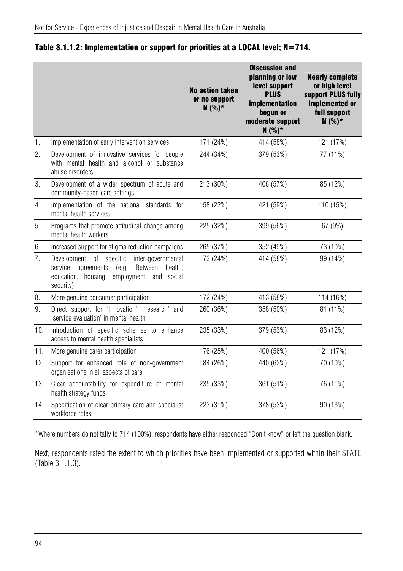|     |                                                                                                                                                                  | <b>No action taken</b><br>or no support<br>$N(%)*$ | <b>Discussion and</b><br>planning or low<br>level support<br><b>PLUS</b><br>implementation<br>begun or<br>moderate support<br>$N(%)*$ | <b>Nearly complete</b><br>or high level<br>support PLUS fully<br>implemented or<br>full support<br>$N(%)*$ |
|-----|------------------------------------------------------------------------------------------------------------------------------------------------------------------|----------------------------------------------------|---------------------------------------------------------------------------------------------------------------------------------------|------------------------------------------------------------------------------------------------------------|
| 1.  | Implementation of early intervention services                                                                                                                    | 171 (24%)                                          | 414 (58%)                                                                                                                             | 121 (17%)                                                                                                  |
| 2.  | Development of innovative services for people<br>with mental health and alcohol or substance<br>abuse disorders                                                  | 244 (34%)                                          | 379 (53%)                                                                                                                             | 77 (11%)                                                                                                   |
| 3.  | Development of a wider spectrum of acute and<br>community-based care settings                                                                                    | 213 (30%)                                          | 406 (57%)                                                                                                                             | 85 (12%)                                                                                                   |
| 4.  | Implementation of the national standards for<br>mental health services                                                                                           | 158 (22%)                                          | 421 (59%)                                                                                                                             | 110 (15%)                                                                                                  |
| 5.  | Programs that promote attitudinal change among<br>mental health workers                                                                                          | 225 (32%)                                          | 399 (56%)                                                                                                                             | 67 (9%)                                                                                                    |
| 6.  | Increased support for stigma reduction campaigns                                                                                                                 | 265 (37%)                                          | 352 (49%)                                                                                                                             | 73 (10%)                                                                                                   |
| 7.  | Development of specific<br>inter-governmental<br>service agreements<br>(e.g.<br>Between<br>health.<br>education, housing,<br>employment, and social<br>security) | 173 (24%)                                          | 414 (58%)                                                                                                                             | 99 (14%)                                                                                                   |
| 8.  | More genuine consumer participation                                                                                                                              | 172 (24%)                                          | 413 (58%)                                                                                                                             | 114 (16%)                                                                                                  |
| 9.  | Direct support for 'innovation', 'research' and<br>'service evaluation' in mental health                                                                         | 260 (36%)                                          | 358 (50%)                                                                                                                             | 81 (11%)                                                                                                   |
| 10. | Introduction of specific schemes to enhance<br>access to mental health specialists                                                                               | 235 (33%)                                          | 379 (53%)                                                                                                                             | 83 (12%)                                                                                                   |
| 11. | More genuine carer participation                                                                                                                                 | 176 (25%)                                          | 400 (56%)                                                                                                                             | 121 (17%)                                                                                                  |
| 12. | Support for enhanced role of non-government<br>organisations in all aspects of care                                                                              | 184 (26%)                                          | 440 (62%)                                                                                                                             | 70 (10%)                                                                                                   |
| 13. | Clear accountability for expenditure of mental<br>health strategy funds                                                                                          | 235 (33%)                                          | 361 (51%)                                                                                                                             | 76 (11%)                                                                                                   |
| 14. | Specification of clear primary care and specialist<br>workforce roles                                                                                            | 223 (31%)                                          | 378 (53%)                                                                                                                             | 90 (13%)                                                                                                   |

#### Table 3.1.1.2: Implementation or support for priorities at a LOCAL level; N=714.

\*Where numbers do not tally to 714 (100%), respondents have either responded "Don't know" or left the question blank.

Next, respondents rated the extent to which priorities have been implemented or supported within their STATE (Table 3.1.1.3).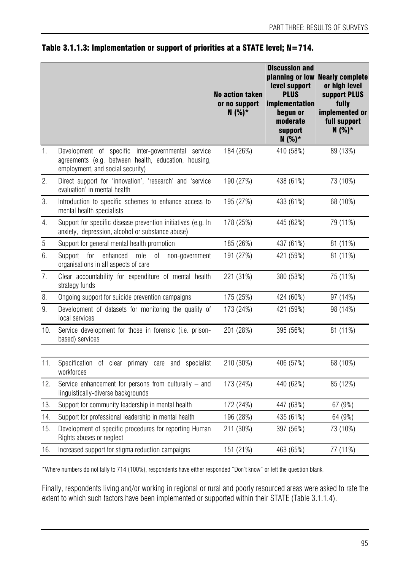|            |                                                                                                                                                | <b>No action taken</b><br>or no support<br>$N(%)*$ | <b>Discussion and</b><br>level support<br><b>PLUS</b><br>implementation<br>begun or<br>moderate<br>support<br>$N(%)*$ | planning or low Nearly complete<br>or high level<br>support PLUS<br>fully<br>implemented or<br>full support<br>$N(%)*$ |
|------------|------------------------------------------------------------------------------------------------------------------------------------------------|----------------------------------------------------|-----------------------------------------------------------------------------------------------------------------------|------------------------------------------------------------------------------------------------------------------------|
| 1.         | Development of specific inter-governmental service<br>agreements (e.g. between health, education, housing,<br>employment, and social security) | 184 (26%)                                          | 410 (58%)                                                                                                             | 89 (13%)                                                                                                               |
| 2.         | Direct support for 'innovation', 'research' and 'service<br>evaluation' in mental health                                                       | 190 (27%)                                          | 438 (61%)                                                                                                             | 73 (10%)                                                                                                               |
| 3.         | Introduction to specific schemes to enhance access to<br>mental health specialists                                                             | 195 (27%)                                          | 433 (61%)                                                                                                             | 68 (10%)                                                                                                               |
| 4.         | Support for specific disease prevention initiatives (e.g. In<br>anxiety, depression, alcohol or substance abuse)                               | 178 (25%)                                          | 445 (62%)                                                                                                             | 79 (11%)                                                                                                               |
| $\sqrt{5}$ | Support for general mental health promotion                                                                                                    | 185 (26%)                                          | 437 (61%)                                                                                                             | 81 (11%)                                                                                                               |
| 6.         | for<br>enhanced<br>role<br>0f<br>Support<br>non-government<br>organisations in all aspects of care                                             | 191 (27%)                                          | 421 (59%)                                                                                                             | 81 (11%)                                                                                                               |
| 7.         | Clear accountability for expenditure of mental health<br>strategy funds                                                                        | 221 (31%)                                          | 380 (53%)                                                                                                             | 75 (11%)                                                                                                               |
| 8.         | Ongoing support for suicide prevention campaigns                                                                                               | 175 (25%)                                          | 424 (60%)                                                                                                             | 97 (14%)                                                                                                               |
| 9.         | Development of datasets for monitoring the quality of<br>local services                                                                        | 173 (24%)                                          | 421 (59%)                                                                                                             | 98 (14%)                                                                                                               |
| 10.        | Service development for those in forensic (i.e. prison-<br>based) services                                                                     | 201 (28%)                                          | 395 (56%)                                                                                                             | 81 (11%)                                                                                                               |
| 11.        | Specification of clear primary care and specialist<br>workforces                                                                               | 210 (30%)                                          | 406 (57%)                                                                                                             | 68 (10%)                                                                                                               |
| 12.        | Service enhancement for persons from culturally - and<br>linguistically-diverse backgrounds                                                    | 173 (24%)                                          | 440 (62%)                                                                                                             | 85 (12%)                                                                                                               |
| 13.        | Support for community leadership in mental health                                                                                              | 172 (24%)                                          | 447 (63%)                                                                                                             | 67 (9%)                                                                                                                |
| 14.        | Support for professional leadership in mental health                                                                                           | 196 (28%)                                          | 435 (61%)                                                                                                             | 64 (9%)                                                                                                                |
| 15.        | Development of specific procedures for reporting Human<br>Rights abuses or neglect                                                             | 211 (30%)                                          | 397 (56%)                                                                                                             | 73 (10%)                                                                                                               |
| 16.        | Increased support for stigma reduction campaigns                                                                                               | 151 (21%)                                          | 463 (65%)                                                                                                             | 77 (11%)                                                                                                               |

#### Table 3.1.1.3: Implementation or support of priorities at a STATE level; N=714.

\*Where numbers do not tally to 714 (100%), respondents have either responded "Don't know" or left the question blank.

Finally, respondents living and/or working in regional or rural and poorly resourced areas were asked to rate the extent to which such factors have been implemented or supported within their STATE (Table 3.1.1.4).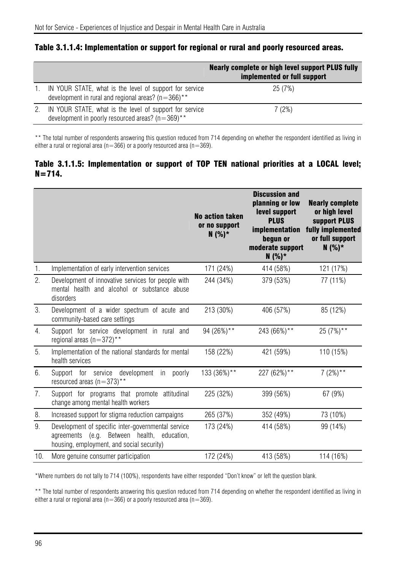| Table 3.1.1.4: Implementation or support for regional or rural and poorly resourced areas. |  |  |  |  |  |  |  |  |
|--------------------------------------------------------------------------------------------|--|--|--|--|--|--|--|--|
|--------------------------------------------------------------------------------------------|--|--|--|--|--|--|--|--|

|    |                                                                                                                   | Nearly complete or high level support PLUS fully<br>implemented or full support |
|----|-------------------------------------------------------------------------------------------------------------------|---------------------------------------------------------------------------------|
|    | IN YOUR STATE, what is the level of support for service<br>development in rural and regional areas? ( $n=366$ )** | 25 (7%)                                                                         |
| 2. | IN YOUR STATE, what is the level of support for service<br>development in poorly resourced areas? ( $n=369$ )**   | 7 (2%)                                                                          |

\*\* The total number of respondents answering this question reduced from 714 depending on whether the respondent identified as living in either a rural or regional area ( $n=366$ ) or a poorly resourced area ( $n=369$ ).

#### Table 3.1.1.5: Implementation or support of TOP TEN national priorities at a LOCAL level;  $N = 714.$

|                  |                                                                                                                                                | <b>No action taken</b><br>or no support<br>$N(%)*$ | <b>Discussion and</b><br>planning or low<br>level support<br><b>PLUS</b><br>implementation<br>begun or<br>moderate support<br>$N(%)*$ | <b>Nearly complete</b><br>or high level<br>support PLUS<br>fully implemented<br>or full support<br>$N(%)*$ |
|------------------|------------------------------------------------------------------------------------------------------------------------------------------------|----------------------------------------------------|---------------------------------------------------------------------------------------------------------------------------------------|------------------------------------------------------------------------------------------------------------|
| 1.               | Implementation of early intervention services                                                                                                  | 171 (24%)                                          | 414 (58%)                                                                                                                             | 121 (17%)                                                                                                  |
| 2.               | Development of innovative services for people with<br>mental health and alcohol or substance abuse<br>disorders                                | 244 (34%)                                          | 379 (53%)                                                                                                                             | 77 (11%)                                                                                                   |
| 3.               | Development of a wider spectrum of acute and<br>community-based care settings                                                                  | 213 (30%)                                          | 406 (57%)                                                                                                                             | 85 (12%)                                                                                                   |
| $\overline{4}$ . | Support for service development in rural and<br>regional areas (n=372)**                                                                       | 94 (26%)**                                         | 243 (66%)**                                                                                                                           | 25 (7%) **                                                                                                 |
| 5.               | Implementation of the national standards for mental<br>health services                                                                         | 158 (22%)                                          | 421 (59%)                                                                                                                             | 110 (15%)                                                                                                  |
| 6.               | development<br>Support for service<br>poorly<br>in.<br>resourced areas ( $n=373$ )**                                                           | 133 (36%)**                                        | 227 (62%)**                                                                                                                           | $7(2%)**$                                                                                                  |
| 7.               | Support for programs that promote attitudinal<br>change among mental health workers                                                            | 225 (32%)                                          | 399 (56%)                                                                                                                             | 67 (9%)                                                                                                    |
| 8.               | Increased support for stigma reduction campaigns                                                                                               | 265 (37%)                                          | 352 (49%)                                                                                                                             | 73 (10%)                                                                                                   |
| 9.               | Development of specific inter-governmental service<br>agreements (e.g. Between health, education,<br>housing, employment, and social security) | 173 (24%)                                          | 414 (58%)                                                                                                                             | 99 (14%)                                                                                                   |
| 10.              | More genuine consumer participation                                                                                                            | 172 (24%)                                          | 413 (58%)                                                                                                                             | 114 (16%)                                                                                                  |

\*Where numbers do not tally to 714 (100%), respondents have either responded "Don't know" or left the question blank.

\*\* The total number of respondents answering this question reduced from 714 depending on whether the respondent identified as living in either a rural or regional area ( $n=366$ ) or a poorly resourced area ( $n=369$ ).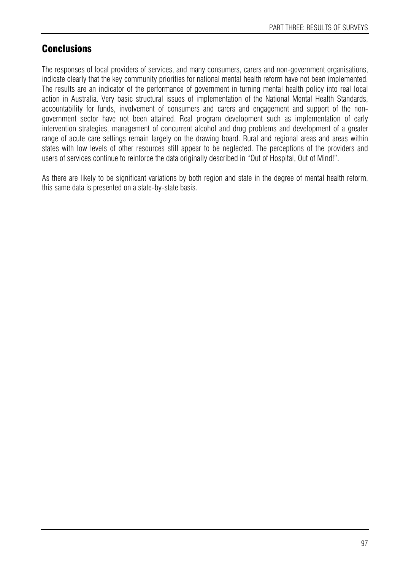# **Conclusions**

The responses of local providers of services, and many consumers, carers and non-government organisations, indicate clearly that the key community priorities for national mental health reform have not been implemented. The results are an indicator of the performance of government in turning mental health policy into real local action in Australia. Very basic structural issues of implementation of the National Mental Health Standards, accountability for funds, involvement of consumers and carers and engagement and support of the nongovernment sector have not been attained. Real program development such as implementation of early intervention strategies, management of concurrent alcohol and drug problems and development of a greater range of acute care settings remain largely on the drawing board. Rural and regional areas and areas within states with low levels of other resources still appear to be neglected. The perceptions of the providers and users of services continue to reinforce the data originally described in "Out of Hospital, Out of Mind!".

As there are likely to be significant variations by both region and state in the degree of mental health reform, this same data is presented on a state-by-state basis.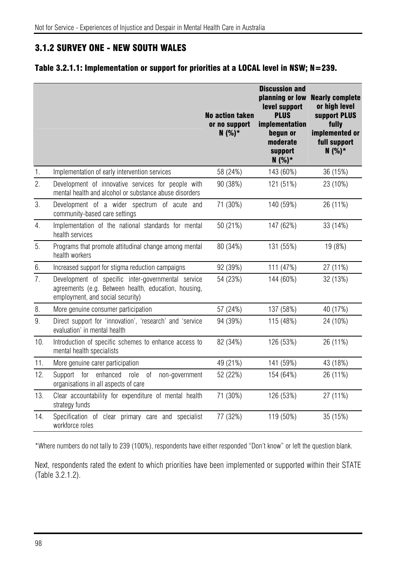## 3.1.2 SURVEY ONE - NEW SOUTH WALES

### Table 3.2.1.1: Implementation or support for priorities at a LOCAL level in NSW; N=239.

|                |                                                                                                                                                | <b>No action taken</b><br>or no support<br>$N(%)*$ | <b>Discussion and</b><br>planning or low<br>level support<br><b>PLUS</b><br>implementation<br>begun or<br>moderate<br>support<br>$N(%)*$ | <b>Nearly complete</b><br>or high level<br>support PLUS<br>fully<br>implemented or<br>full support<br>$N(%)*$ |
|----------------|------------------------------------------------------------------------------------------------------------------------------------------------|----------------------------------------------------|------------------------------------------------------------------------------------------------------------------------------------------|---------------------------------------------------------------------------------------------------------------|
| $\mathbf{1}$ . | Implementation of early intervention services                                                                                                  | 58 (24%)                                           | 143 (60%)                                                                                                                                | 36 (15%)                                                                                                      |
| 2.             | Development of innovative services for people with<br>mental health and alcohol or substance abuse disorders                                   | 90 (38%)                                           | 121 (51%)                                                                                                                                | 23 (10%)                                                                                                      |
| 3.             | Development of a wider spectrum of acute and<br>community-based care settings                                                                  | 71 (30%)                                           | 140 (59%)                                                                                                                                | 26 (11%)                                                                                                      |
| 4.             | Implementation of the national standards for mental<br>health services                                                                         | 50 (21%)                                           | 147 (62%)                                                                                                                                | 33 (14%)                                                                                                      |
| 5.             | Programs that promote attitudinal change among mental<br>health workers                                                                        | 80 (34%)                                           | 131 (55%)                                                                                                                                | 19 (8%)                                                                                                       |
| 6.             | Increased support for stigma reduction campaigns                                                                                               | 92 (39%)                                           | 111 (47%)                                                                                                                                | 27 (11%)                                                                                                      |
| 7.             | Development of specific inter-governmental service<br>agreements (e.g. Between health, education, housing,<br>employment, and social security) | 54 (23%)                                           | 144 (60%)                                                                                                                                | 32 (13%)                                                                                                      |
| 8.             | More genuine consumer participation                                                                                                            | 57 (24%)                                           | 137 (58%)                                                                                                                                | 40 (17%)                                                                                                      |
| 9.             | Direct support for 'innovation', 'research' and 'service<br>evaluation' in mental health                                                       | 94 (39%)                                           | 115 (48%)                                                                                                                                | 24 (10%)                                                                                                      |
| 10.            | Introduction of specific schemes to enhance access to<br>mental health specialists                                                             | 82 (34%)                                           | 126 (53%)                                                                                                                                | 26 (11%)                                                                                                      |
| 11.            | More genuine carer participation                                                                                                               | 49 (21%)                                           | 141 (59%)                                                                                                                                | 43 (18%)                                                                                                      |
| 12.            | enhanced<br>Support for<br>0f<br>role<br>non-government<br>organisations in all aspects of care                                                | 52 (22%)                                           | 154 (64%)                                                                                                                                | 26 (11%)                                                                                                      |
| 13.            | Clear accountability for expenditure of mental health<br>strategy funds                                                                        | 71 (30%)                                           | 126 (53%)                                                                                                                                | 27 (11%)                                                                                                      |
| 14.            | Specification of clear primary care and specialist<br>workforce roles                                                                          | 77 (32%)                                           | 119 (50%)                                                                                                                                | 35 (15%)                                                                                                      |

\*Where numbers do not tally to 239 (100%), respondents have either responded "Don't know" or left the question blank.

Next, respondents rated the extent to which priorities have been implemented or supported within their STATE (Table 3.2.1.2).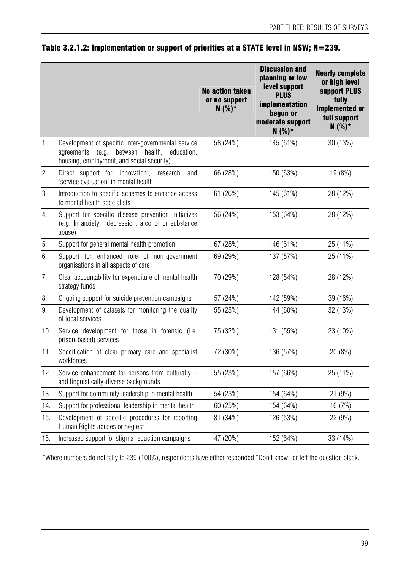|                  |                                                                                                                                                         | No action taken<br>or no support<br>$N(%)*$ | <b>Discussion and</b><br>planning or low<br>level support<br><b>PLUS</b><br>implementation<br>begun or<br>moderate support<br>$N(%)*$ | <b>Nearly complete</b><br>or high level<br>support PLUS<br>fully<br>implemented or<br>full support<br>$N(%)*$ |
|------------------|---------------------------------------------------------------------------------------------------------------------------------------------------------|---------------------------------------------|---------------------------------------------------------------------------------------------------------------------------------------|---------------------------------------------------------------------------------------------------------------|
| 1.               | Development of specific inter-governmental service<br>between health,<br>agreements<br>(e.g.<br>education,<br>housing, employment, and social security) | 58 (24%)                                    | 145 (61%)                                                                                                                             | 30 (13%)                                                                                                      |
| 2.               | Direct support for 'innovation', 'research' and<br>'service evaluation' in mental health                                                                | 66 (28%)                                    | 150 (63%)                                                                                                                             | 19 (8%)                                                                                                       |
| 3.               | Introduction to specific schemes to enhance access<br>to mental health specialists                                                                      | 61 (26%)                                    | 145 (61%)                                                                                                                             | 28 (12%)                                                                                                      |
| 4.               | Support for specific disease prevention initiatives<br>(e.g. In anxiety, depression, alcohol or substance<br>abuse)                                     | 56 (24%)                                    | 153 (64%)                                                                                                                             | 28 (12%)                                                                                                      |
| $\sqrt{5}$       | Support for general mental health promotion                                                                                                             | 67 (28%)                                    | 146 (61%)                                                                                                                             | 25 (11%)                                                                                                      |
| 6.               | Support for enhanced role of non-government<br>organisations in all aspects of care                                                                     | 69 (29%)                                    | 137 (57%)                                                                                                                             | 25 (11%)                                                                                                      |
| $\overline{7}$ . | Clear accountability for expenditure of mental health<br>strategy funds                                                                                 | 70 (29%)                                    | 128 (54%)                                                                                                                             | 28 (12%)                                                                                                      |
| 8.               | Ongoing support for suicide prevention campaigns                                                                                                        | 57 (24%)                                    | 142 (59%)                                                                                                                             | 39 (16%)                                                                                                      |
| 9.               | Development of datasets for monitoring the quality<br>of local services                                                                                 | 55 (23%)                                    | 144 (60%)                                                                                                                             | 32 (13%)                                                                                                      |
| 10.              | Service development for those in forensic (i.e.<br>prison-based) services                                                                               | 75 (32%)                                    | 131 (55%)                                                                                                                             | 23 (10%)                                                                                                      |
| 11.              | Specification of clear primary care and specialist<br>workforces                                                                                        | 72 (30%)                                    | 136 (57%)                                                                                                                             | 20 (8%)                                                                                                       |
| 12.              | Service enhancement for persons from culturally -<br>and linguistically-diverse backgrounds                                                             | 55 (23%)                                    | 157 (66%)                                                                                                                             | 25 (11%)                                                                                                      |
| 13.              | Support for community leadership in mental health                                                                                                       | 54 (23%)                                    | 154 (64%)                                                                                                                             | 21 (9%)                                                                                                       |
| 14.              | Support for professional leadership in mental health                                                                                                    | 60 (25%)                                    | 154 (64%)                                                                                                                             | 16 (7%)                                                                                                       |
| 15.              | Development of specific procedures for reporting<br>Human Rights abuses or neglect                                                                      | 81 (34%)                                    | 126 (53%)                                                                                                                             | 22 (9%)                                                                                                       |
| 16.              | Increased support for stigma reduction campaigns                                                                                                        | 47 (20%)                                    | 152 (64%)                                                                                                                             | 33 (14%)                                                                                                      |

## Table 3.2.1.2: Implementation or support of priorities at a STATE level in NSW; N=239.

\*Where numbers do not tally to 239 (100%), respondents have either responded "Don't know" or left the question blank.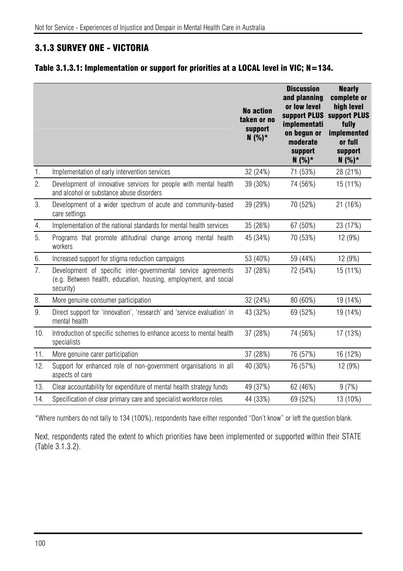# 3.1.3 SURVEY ONE - VICTORIA

### Table 3.1.3.1: Implementation or support for priorities at a LOCAL level in VIC; N=134.

|     |                                                                                                                                                | <b>No action</b><br>taken or no<br>support<br>$N(%)*$ | <b>Discussion</b><br>and planning<br>or low level<br>support PLUS<br>implementati<br>on begun or<br>moderate<br>support<br>$N(%)^*$ | <b>Nearly</b><br>complete or<br>high level<br>support PLUS<br>fully<br>implemented<br>or full<br>support<br>$N(%)*$ |
|-----|------------------------------------------------------------------------------------------------------------------------------------------------|-------------------------------------------------------|-------------------------------------------------------------------------------------------------------------------------------------|---------------------------------------------------------------------------------------------------------------------|
| 1.  | Implementation of early intervention services                                                                                                  | 32 (24%)                                              | 71 (53%)                                                                                                                            | 28 (21%)                                                                                                            |
| 2.  | Development of innovative services for people with mental health<br>and alcohol or substance abuse disorders                                   | 39 (30%)                                              | 74 (56%)                                                                                                                            | 15 (11%)                                                                                                            |
| 3.  | Development of a wider spectrum of acute and community-based<br>care settings                                                                  | 39 (29%)                                              | 70 (52%)                                                                                                                            | 21 (16%)                                                                                                            |
| 4.  | Implementation of the national standards for mental health services                                                                            | 35 (26%)                                              | 67 (50%)                                                                                                                            | 23 (17%)                                                                                                            |
| 5.  | Programs that promote attitudinal change among mental health<br>workers                                                                        | 45 (34%)                                              | 70 (53%)                                                                                                                            | 12 (9%)                                                                                                             |
| 6.  | Increased support for stigma reduction campaigns                                                                                               | 53 (40%)                                              | 59 (44%)                                                                                                                            | 12 (9%)                                                                                                             |
| 7.  | Development of specific inter-governmental service agreements<br>(e.g. Between health, education, housing, employment, and social<br>security) | 37 (28%)                                              | 72 (54%)                                                                                                                            | 15 (11%)                                                                                                            |
| 8.  | More genuine consumer participation                                                                                                            | 32 (24%)                                              | 80 (60%)                                                                                                                            | 19 (14%)                                                                                                            |
| 9.  | Direct support for 'innovation', 'research' and 'service evaluation' in<br>mental health                                                       | 43 (32%)                                              | 69 (52%)                                                                                                                            | 19 (14%)                                                                                                            |
| 10. | Introduction of specific schemes to enhance access to mental health<br>specialists                                                             | 37 (28%)                                              | 74 (56%)                                                                                                                            | 17 (13%)                                                                                                            |
| 11. | More genuine carer participation                                                                                                               | 37 (28%)                                              | 76 (57%)                                                                                                                            | 16 (12%)                                                                                                            |
| 12. | Support for enhanced role of non-government organisations in all<br>aspects of care                                                            | 40 (30%)                                              | 76 (57%)                                                                                                                            | 12 (9%)                                                                                                             |
| 13. | Clear accountability for expenditure of mental health strategy funds                                                                           | 49 (37%)                                              | 62 (46%)                                                                                                                            | 9(7%)                                                                                                               |
| 14. | Specification of clear primary care and specialist workforce roles                                                                             | 44 (33%)                                              | 69 (52%)                                                                                                                            | 13 (10%)                                                                                                            |

\*Where numbers do not tally to 134 (100%), respondents have either responded "Don't know" or left the question blank.

Next, respondents rated the extent to which priorities have been implemented or supported within their STATE (Table 3.1.3.2).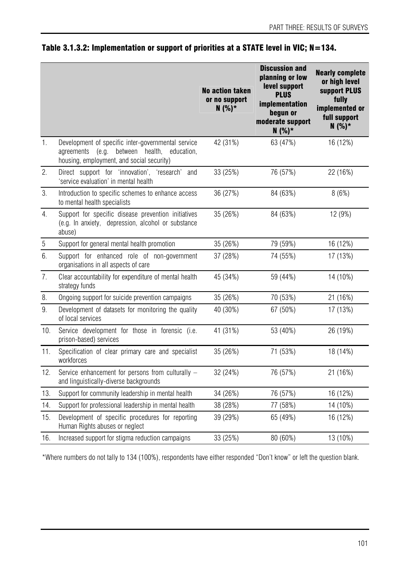|                  |                                                                                                                                                         | <b>No action taken</b><br>or no support<br>$N(%)*$ | <b>Discussion and</b><br>planning or low<br>level support<br><b>PLUS</b><br>implementation<br>begun or<br>moderate support<br>$N(%)*$ | <b>Nearly complete</b><br>or high level<br>support PLUS<br>fully<br>implemented or<br>full support<br>$N(%)*$ |
|------------------|---------------------------------------------------------------------------------------------------------------------------------------------------------|----------------------------------------------------|---------------------------------------------------------------------------------------------------------------------------------------|---------------------------------------------------------------------------------------------------------------|
| 1.               | Development of specific inter-governmental service<br>(e.g.<br>between health,<br>agreements<br>education,<br>housing, employment, and social security) | 42 (31%)                                           | 63 (47%)                                                                                                                              | 16 (12%)                                                                                                      |
| 2.               | Direct support for 'innovation', 'research' and<br>'service evaluation' in mental health                                                                | 33 (25%)                                           | 76 (57%)                                                                                                                              | 22 (16%)                                                                                                      |
| 3.               | Introduction to specific schemes to enhance access<br>to mental health specialists                                                                      | 36 (27%)                                           | 84 (63%)                                                                                                                              | 8(6%)                                                                                                         |
| 4.               | Support for specific disease prevention initiatives<br>(e.g. In anxiety, depression, alcohol or substance<br>abuse)                                     | 35 (26%)                                           | 84 (63%)                                                                                                                              | 12 (9%)                                                                                                       |
| $\sqrt{5}$       | Support for general mental health promotion                                                                                                             | 35 (26%)                                           | 79 (59%)                                                                                                                              | 16 (12%)                                                                                                      |
| 6.               | Support for enhanced role of non-government<br>organisations in all aspects of care                                                                     | 37 (28%)                                           | 74 (55%)                                                                                                                              | 17 (13%)                                                                                                      |
| $\overline{7}$ . | Clear accountability for expenditure of mental health<br>strategy funds                                                                                 | 45 (34%)                                           | 59 (44%)                                                                                                                              | 14 (10%)                                                                                                      |
| 8.               | Ongoing support for suicide prevention campaigns                                                                                                        | 35 (26%)                                           | 70 (53%)                                                                                                                              | 21 (16%)                                                                                                      |
| 9.               | Development of datasets for monitoring the quality<br>of local services                                                                                 | 40 (30%)                                           | 67 (50%)                                                                                                                              | 17 (13%)                                                                                                      |
| 10.              | Service development for those in forensic (i.e.<br>prison-based) services                                                                               | 41 (31%)                                           | 53 (40%)                                                                                                                              | 26 (19%)                                                                                                      |
| 11.              | Specification of clear primary care and specialist<br>workforces                                                                                        | 35 (26%)                                           | 71 (53%)                                                                                                                              | 18 (14%)                                                                                                      |
| 12.              | Service enhancement for persons from culturally -<br>and linguistically-diverse backgrounds                                                             | 32 (24%)                                           | 76 (57%)                                                                                                                              | 21 (16%)                                                                                                      |
| 13.              | Support for community leadership in mental health                                                                                                       | 34 (26%)                                           | 76 (57%)                                                                                                                              | 16 (12%)                                                                                                      |
| 14.              | Support for professional leadership in mental health                                                                                                    | 38 (28%)                                           | 77 (58%)                                                                                                                              | 14 (10%)                                                                                                      |
| 15.              | Development of specific procedures for reporting<br>Human Rights abuses or neglect                                                                      | 39 (29%)                                           | 65 (49%)                                                                                                                              | 16 (12%)                                                                                                      |
| 16.              | Increased support for stigma reduction campaigns                                                                                                        | 33 (25%)                                           | 80 (60%)                                                                                                                              | 13 (10%)                                                                                                      |

## Table 3.1.3.2: Implementation or support of priorities at a STATE level in VIC; N=134.

\*Where numbers do not tally to 134 (100%), respondents have either responded "Don't know" or left the question blank.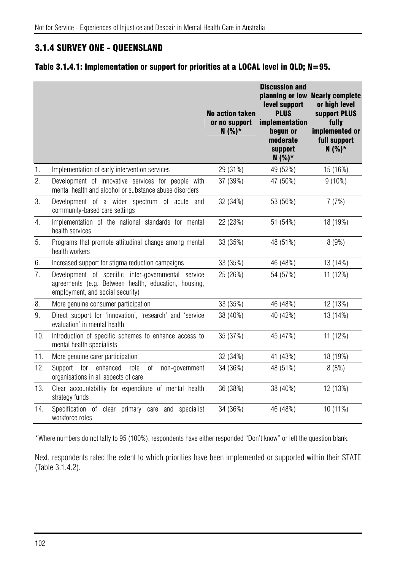# 3.1.4 SURVEY ONE - QUEENSLAND

#### Table 3.1.4.1: Implementation or support for priorities at a LOCAL level in QLD; N=95.

|                |                                                                                                                                                | <b>No action taken</b><br>or no support<br>$N(%)*$ | <b>Discussion and</b><br>planning or low<br>level support<br><b>PLUS</b><br>implementation<br>begun or<br>moderate<br>support<br>$N(%)*$ | <b>Nearly complete</b><br>or high level<br>support PLUS<br>fully<br>implemented or<br>full support<br>$N(%)*$ |
|----------------|------------------------------------------------------------------------------------------------------------------------------------------------|----------------------------------------------------|------------------------------------------------------------------------------------------------------------------------------------------|---------------------------------------------------------------------------------------------------------------|
| 1.             | Implementation of early intervention services                                                                                                  | 29 (31%)                                           | 49 (52%)                                                                                                                                 | 15 (16%)                                                                                                      |
| 2.             | Development of innovative services for people with<br>mental health and alcohol or substance abuse disorders                                   | 37 (39%)                                           | 47 (50%)                                                                                                                                 | $9(10\%)$                                                                                                     |
| 3.             | Development of a wider spectrum of acute<br>and<br>community-based care settings                                                               | 32 (34%)                                           | 53 (56%)                                                                                                                                 | 7(7%)                                                                                                         |
| 4.             | Implementation of the national standards for mental<br>health services                                                                         | 22 (23%)                                           | 51 (54%)                                                                                                                                 | 18 (19%)                                                                                                      |
| 5.             | Programs that promote attitudinal change among mental<br>health workers                                                                        | 33 (35%)                                           | 48 (51%)                                                                                                                                 | 8(9%)                                                                                                         |
| 6.             | Increased support for stigma reduction campaigns                                                                                               | 33 (35%)                                           | 46 (48%)                                                                                                                                 | 13 (14%)                                                                                                      |
| 7 <sub>1</sub> | Development of specific inter-governmental service<br>agreements (e.g. Between health, education, housing,<br>employment, and social security) | 25 (26%)                                           | 54 (57%)                                                                                                                                 | 11 (12%)                                                                                                      |
| 8.             | More genuine consumer participation                                                                                                            | 33 (35%)                                           | 46 (48%)                                                                                                                                 | 12 (13%)                                                                                                      |
| 9.             | Direct support for 'innovation', 'research' and 'service<br>evaluation' in mental health                                                       | 38 (40%)                                           | 40 (42%)                                                                                                                                 | 13 (14%)                                                                                                      |
| 10.            | Introduction of specific schemes to enhance access to<br>mental health specialists                                                             | 35 (37%)                                           | 45 (47%)                                                                                                                                 | 11 (12%)                                                                                                      |
| 11.            | More genuine carer participation                                                                                                               | 32 (34%)                                           | 41 (43%)                                                                                                                                 | 18 (19%)                                                                                                      |
| 12.            | for<br>enhanced<br>Support<br>role<br>оf<br>non-government<br>organisations in all aspects of care                                             | 34 (36%)                                           | 48 (51%)                                                                                                                                 | 8(8%)                                                                                                         |
| 13.            | Clear accountability for expenditure of mental health<br>strategy funds                                                                        | 36 (38%)                                           | 38 (40%)                                                                                                                                 | 12 (13%)                                                                                                      |
| 14.            | Specification of clear primary care and specialist<br>workforce roles                                                                          | 34 (36%)                                           | 46 (48%)                                                                                                                                 | 10 (11%)                                                                                                      |

\*Where numbers do not tally to 95 (100%), respondents have either responded "Don't know" or left the question blank.

Next, respondents rated the extent to which priorities have been implemented or supported within their STATE (Table 3.1.4.2).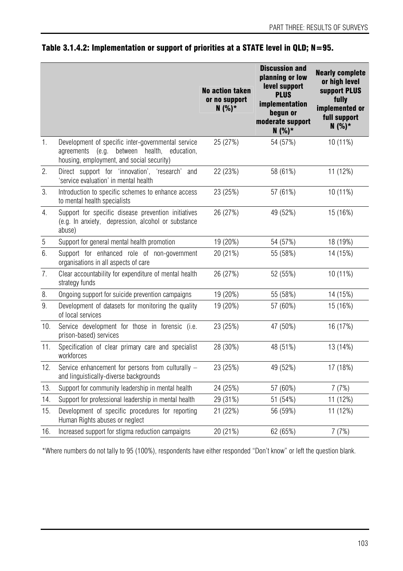|       |                                                                                                                                                         | <b>No action taken</b><br>or no support<br>$N(%)*$ | <b>Discussion and</b><br>planning or low<br>level support<br><b>PLUS</b><br>implementation<br>begun or<br>moderate support<br>$N(%)*$ | <b>Nearly complete</b><br>or high level<br>support PLUS<br>fully<br>implemented or<br>full support<br>$N(%)*$ |
|-------|---------------------------------------------------------------------------------------------------------------------------------------------------------|----------------------------------------------------|---------------------------------------------------------------------------------------------------------------------------------------|---------------------------------------------------------------------------------------------------------------|
| 1.    | Development of specific inter-governmental service<br>(e.g.<br>between health,<br>education,<br>agreements<br>housing, employment, and social security) | 25 (27%)                                           | 54 (57%)                                                                                                                              | 10 (11%)                                                                                                      |
| 2.    | Direct support for 'innovation', 'research' and<br>'service evaluation' in mental health                                                                | 22 (23%)                                           | 58 (61%)                                                                                                                              | 11 (12%)                                                                                                      |
| 3.    | Introduction to specific schemes to enhance access<br>to mental health specialists                                                                      | 23 (25%)                                           | 57 (61%)                                                                                                                              | 10 (11%)                                                                                                      |
| 4.    | Support for specific disease prevention initiatives<br>(e.g. In anxiety, depression, alcohol or substance<br>abuse)                                     | 26 (27%)                                           | 49 (52%)                                                                                                                              | 15 (16%)                                                                                                      |
| $5\,$ | Support for general mental health promotion                                                                                                             | 19 (20%)                                           | 54 (57%)                                                                                                                              | 18 (19%)                                                                                                      |
| 6.    | Support for enhanced role of non-government<br>organisations in all aspects of care                                                                     | 20 (21%)                                           | 55 (58%)                                                                                                                              | 14 (15%)                                                                                                      |
| 7.    | Clear accountability for expenditure of mental health<br>strategy funds                                                                                 | 26 (27%)                                           | 52 (55%)                                                                                                                              | 10 (11%)                                                                                                      |
| 8.    | Ongoing support for suicide prevention campaigns                                                                                                        | 19 (20%)                                           | 55 (58%)                                                                                                                              | 14 (15%)                                                                                                      |
| 9.    | Development of datasets for monitoring the quality<br>of local services                                                                                 | 19 (20%)                                           | 57 (60%)                                                                                                                              | 15 (16%)                                                                                                      |
| 10.   | Service development for those in forensic (i.e.<br>prison-based) services                                                                               | 23 (25%)                                           | 47 (50%)                                                                                                                              | 16 (17%)                                                                                                      |
| 11.   | Specification of clear primary care and specialist<br>workforces                                                                                        | 28 (30%)                                           | 48 (51%)                                                                                                                              | 13 (14%)                                                                                                      |
| 12.   | Service enhancement for persons from culturally -<br>and linguistically-diverse backgrounds                                                             | 23 (25%)                                           | 49 (52%)                                                                                                                              | 17 (18%)                                                                                                      |
| 13.   | Support for community leadership in mental health                                                                                                       | 24 (25%)                                           | 57 (60%)                                                                                                                              | 7(7%)                                                                                                         |
| 14.   | Support for professional leadership in mental health                                                                                                    | 29 (31%)                                           | 51 (54%)                                                                                                                              | 11 (12%)                                                                                                      |
| 15.   | Development of specific procedures for reporting<br>Human Rights abuses or neglect                                                                      | 21 (22%)                                           | 56 (59%)                                                                                                                              | 11 (12%)                                                                                                      |
| 16.   | Increased support for stigma reduction campaigns                                                                                                        | 20 (21%)                                           | 62 (65%)                                                                                                                              | 7(7%)                                                                                                         |

## Table 3.1.4.2: Implementation or support of priorities at a STATE level in QLD; N=95.

\*Where numbers do not tally to 95 (100%), respondents have either responded "Don't know" or left the question blank.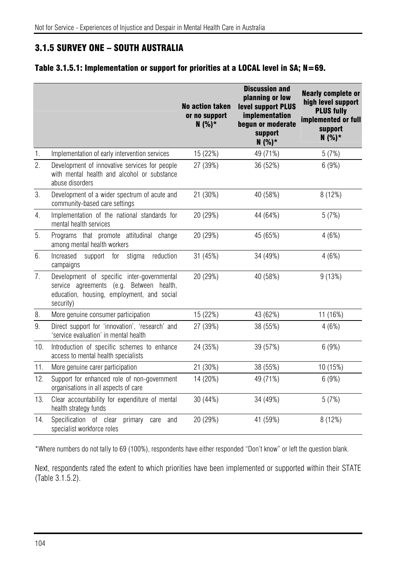# 3.1.5 SURVEY ONE – SOUTH AUSTRALIA

### Table 3.1.5.1: Implementation or support for priorities at a LOCAL level in SA; N=69.

|                             |                                                                                                                                                   | <b>No action taken</b><br>or no support<br>$N(%)*$ | <b>Discussion and</b><br>planning or low<br>level support PLUS<br>implementation<br>begun or moderate<br>support<br>$N(%)^*$ | <b>Nearly complete or</b><br>high level support<br><b>PLUS fully</b><br>implemented or full<br>support<br>$N(%)*$ |
|-----------------------------|---------------------------------------------------------------------------------------------------------------------------------------------------|----------------------------------------------------|------------------------------------------------------------------------------------------------------------------------------|-------------------------------------------------------------------------------------------------------------------|
| $\mathbf{1}$ .              | Implementation of early intervention services                                                                                                     | 15 (22%)                                           | 49 (71%)                                                                                                                     | 5(7%)                                                                                                             |
| $\mathcal{P}_{\mathcal{C}}$ | Development of innovative services for people<br>with mental health and alcohol or substance<br>abuse disorders                                   | 27 (39%)                                           | 36 (52%)                                                                                                                     | 6(9%)                                                                                                             |
| 3.                          | Development of a wider spectrum of acute and<br>community-based care settings                                                                     | 21 (30%)                                           | 40 (58%)                                                                                                                     | 8 (12%)                                                                                                           |
| 4.                          | Implementation of the national standards for<br>mental health services                                                                            | 20 (29%)                                           | 44 (64%)                                                                                                                     | 5(7%)                                                                                                             |
| 5.                          | Programs that promote attitudinal change<br>among mental health workers                                                                           | 20 (29%)                                           | 45 (65%)                                                                                                                     | 4(6%)                                                                                                             |
| 6.                          | for<br>stigma<br>Increased<br>support<br>reduction<br>campaigns                                                                                   | 31 (45%)                                           | 34 (49%)                                                                                                                     | 4(6%)                                                                                                             |
| 7.                          | Development of specific inter-governmental<br>service agreements (e.g. Between health,<br>education, housing, employment, and social<br>security) | 20 (29%)                                           | 40 (58%)                                                                                                                     | 9(13%)                                                                                                            |
| 8.                          | More genuine consumer participation                                                                                                               | 15 (22%)                                           | 43 (62%)                                                                                                                     | 11 (16%)                                                                                                          |
| 9.                          | Direct support for 'innovation', 'research' and<br>'service evaluation' in mental health                                                          | 27 (39%)                                           | 38 (55%)                                                                                                                     | 4(6%)                                                                                                             |
| 10.                         | Introduction of specific schemes to enhance<br>access to mental health specialists                                                                | 24 (35%)                                           | 39 (57%)                                                                                                                     | 6(9%)                                                                                                             |
| 11.                         | More genuine carer participation                                                                                                                  | 21 (30%)                                           | 38 (55%)                                                                                                                     | 10 (15%)                                                                                                          |
| 12.                         | Support for enhanced role of non-government<br>organisations in all aspects of care                                                               | 14 (20%)                                           | 49 (71%)                                                                                                                     | 6(9%)                                                                                                             |
| 13.                         | Clear accountability for expenditure of mental<br>health strategy funds                                                                           | 30 (44%)                                           | 34 (49%)                                                                                                                     | 5(7%)                                                                                                             |
| 14.                         | Specification of clear<br>primary<br>care<br>and<br>specialist workforce roles                                                                    | 20 (29%)                                           | 41 (59%)                                                                                                                     | 8 (12%)                                                                                                           |

\*Where numbers do not tally to 69 (100%), respondents have either responded "Don't know" or left the question blank.

Next, respondents rated the extent to which priorities have been implemented or supported within their STATE (Table 3.1.5.2).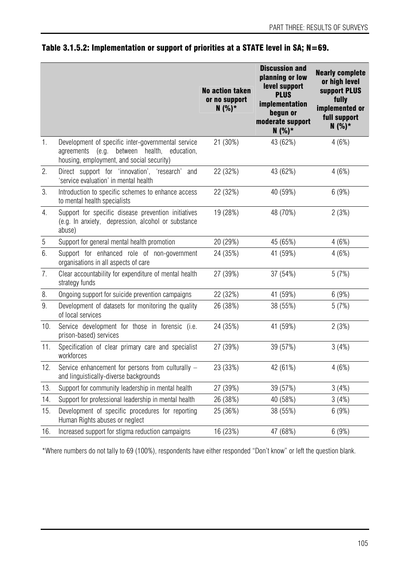|                |                                                                                                                                                         | <b>No action taken</b><br>or no support<br>$N(%)*$ | <b>Discussion and</b><br>planning or low<br>level support<br><b>PLUS</b><br>implementation<br>begun or<br>moderate support<br>$N(%)*$ | <b>Nearly complete</b><br>or high level<br>support PLUS<br>fully<br>implemented or<br>full support<br>$N(%)*$ |
|----------------|---------------------------------------------------------------------------------------------------------------------------------------------------------|----------------------------------------------------|---------------------------------------------------------------------------------------------------------------------------------------|---------------------------------------------------------------------------------------------------------------|
| 1.             | Development of specific inter-governmental service<br>(e.g.<br>between health,<br>education,<br>agreements<br>housing, employment, and social security) | 21 (30%)                                           | 43 (62%)                                                                                                                              | 4(6%)                                                                                                         |
| 2.             | Direct support for 'innovation', 'research' and<br>'service evaluation' in mental health                                                                | 22 (32%)                                           | 43 (62%)                                                                                                                              | 4(6%)                                                                                                         |
| 3.             | Introduction to specific schemes to enhance access<br>to mental health specialists                                                                      | 22 (32%)                                           | 40 (59%)                                                                                                                              | 6(9%)                                                                                                         |
| 4.             | Support for specific disease prevention initiatives<br>(e.g. In anxiety, depression, alcohol or substance<br>abuse)                                     | 19 (28%)                                           | 48 (70%)                                                                                                                              | 2(3%)                                                                                                         |
| $\overline{5}$ | Support for general mental health promotion                                                                                                             | 20 (29%)                                           | 45 (65%)                                                                                                                              | 4(6%)                                                                                                         |
| 6.             | Support for enhanced role of non-government<br>organisations in all aspects of care                                                                     | 24 (35%)                                           | 41 (59%)                                                                                                                              | 4(6%)                                                                                                         |
| 7.             | Clear accountability for expenditure of mental health<br>strategy funds                                                                                 | 27 (39%)                                           | 37 (54%)                                                                                                                              | 5(7%)                                                                                                         |
| 8.             | Ongoing support for suicide prevention campaigns                                                                                                        | 22 (32%)                                           | 41 (59%)                                                                                                                              | 6(9%)                                                                                                         |
| 9.             | Development of datasets for monitoring the quality<br>of local services                                                                                 | 26 (38%)                                           | 38 (55%)                                                                                                                              | 5(7%)                                                                                                         |
| 10.            | Service development for those in forensic (i.e.<br>prison-based) services                                                                               | 24 (35%)                                           | 41 (59%)                                                                                                                              | 2(3%)                                                                                                         |
| 11.            | Specification of clear primary care and specialist<br>workforces                                                                                        | 27 (39%)                                           | 39 (57%)                                                                                                                              | 3(4%)                                                                                                         |
| 12.            | Service enhancement for persons from culturally -<br>and linguistically-diverse backgrounds                                                             | 23 (33%)                                           | 42 (61%)                                                                                                                              | 4(6%)                                                                                                         |
| 13.            | Support for community leadership in mental health                                                                                                       | 27 (39%)                                           | 39 (57%)                                                                                                                              | 3(4%)                                                                                                         |
| 14.            | Support for professional leadership in mental health                                                                                                    | 26 (38%)                                           | 40 (58%)                                                                                                                              | 3(4%)                                                                                                         |
| 15.            | Development of specific procedures for reporting<br>Human Rights abuses or neglect                                                                      | 25 (36%)                                           | 38 (55%)                                                                                                                              | 6(9%)                                                                                                         |
| 16.            | Increased support for stigma reduction campaigns                                                                                                        | 16 (23%)                                           | 47 (68%)                                                                                                                              | 6(9%)                                                                                                         |

## Table 3.1.5.2: Implementation or support of priorities at a STATE level in SA; N=69.

\*Where numbers do not tally to 69 (100%), respondents have either responded "Don't know" or left the question blank.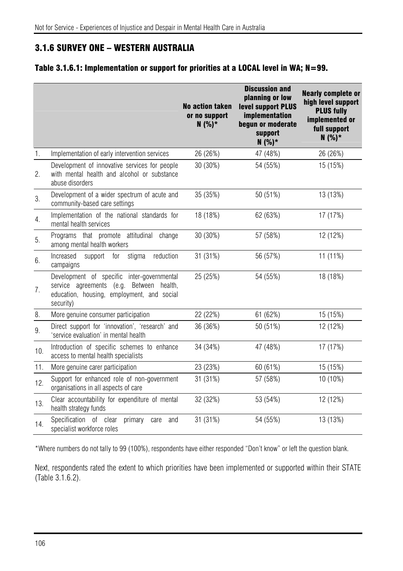# 3.1.6 SURVEY ONE – WESTERN AUSTRALIA

### Table 3.1.6.1: Implementation or support for priorities at a LOCAL level in WA; N=99.

|     |                                                                                                                                                   | <b>No action taken</b><br>or no support<br>$N(%)*$ | <b>Discussion and</b><br>planning or low<br>level support PLUS<br>implementation<br>begun or moderate<br>support<br>$N(%)*$ | <b>Nearly complete or</b><br>high level support<br><b>PLUS fully</b><br>implemented or<br>full support<br>$N(%)*$ |
|-----|---------------------------------------------------------------------------------------------------------------------------------------------------|----------------------------------------------------|-----------------------------------------------------------------------------------------------------------------------------|-------------------------------------------------------------------------------------------------------------------|
| 1.  | Implementation of early intervention services                                                                                                     | 26 (26%)                                           | 47 (48%)                                                                                                                    | 26 (26%)                                                                                                          |
| 2.  | Development of innovative services for people<br>with mental health and alcohol or substance<br>abuse disorders                                   | 30 (30%)                                           | 54 (55%)                                                                                                                    | 15 (15%)                                                                                                          |
| 3.  | Development of a wider spectrum of acute and<br>community-based care settings                                                                     | 35 (35%)                                           | 50 (51%)                                                                                                                    | 13 (13%)                                                                                                          |
| 4.  | Implementation of the national standards for<br>mental health services                                                                            | 18 (18%)                                           | 62 (63%)                                                                                                                    | 17 (17%)                                                                                                          |
| 5.  | Programs that promote attitudinal change<br>among mental health workers                                                                           | 30 (30%)                                           | 57 (58%)                                                                                                                    | 12 (12%)                                                                                                          |
| 6.  | Increased<br>for<br>stigma<br>reduction<br>support<br>campaigns                                                                                   | 31 (31%)                                           | 56 (57%)                                                                                                                    | 11 (11%)                                                                                                          |
| 7.  | Development of specific inter-governmental<br>service agreements (e.g. Between health,<br>education, housing, employment, and social<br>security) | 25 (25%)                                           | 54 (55%)                                                                                                                    | 18 (18%)                                                                                                          |
| 8.  | More genuine consumer participation                                                                                                               | 22 (22%)                                           | 61 (62%)                                                                                                                    | 15 (15%)                                                                                                          |
| 9.  | Direct support for 'innovation', 'research' and<br>'service evaluation' in mental health                                                          | 36 (36%)                                           | 50 (51%)                                                                                                                    | 12 (12%)                                                                                                          |
| 10. | Introduction of specific schemes to enhance<br>access to mental health specialists                                                                | 34 (34%)                                           | 47 (48%)                                                                                                                    | 17 (17%)                                                                                                          |
| 11. | More genuine carer participation                                                                                                                  | 23 (23%)                                           | 60 (61%)                                                                                                                    | 15 (15%)                                                                                                          |
| 12. | Support for enhanced role of non-government<br>organisations in all aspects of care                                                               | 31 (31%)                                           | 57 (58%)                                                                                                                    | 10 (10%)                                                                                                          |
| 13. | Clear accountability for expenditure of mental<br>health strategy funds                                                                           | 32 (32%)                                           | 53 (54%)                                                                                                                    | 12 (12%)                                                                                                          |
| 14. | Specification of clear<br>primary<br>care<br>and<br>specialist workforce roles                                                                    | 31 (31%)                                           | 54 (55%)                                                                                                                    | 13 (13%)                                                                                                          |

\*Where numbers do not tally to 99 (100%), respondents have either responded "Don't know" or left the question blank.

Next, respondents rated the extent to which priorities have been implemented or supported within their STATE (Table 3.1.6.2).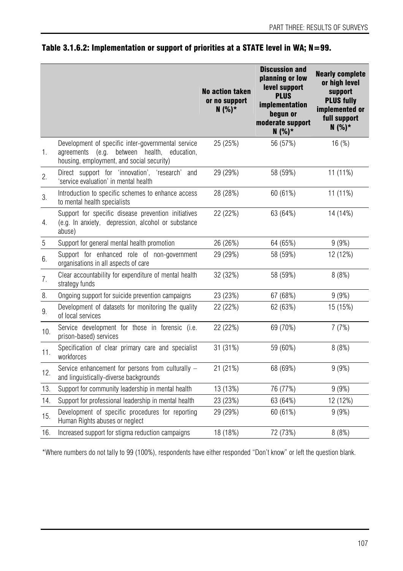|       |                                                                                                                                                         | <b>No action taken</b><br>or no support<br>$N(%)*$ | <b>Discussion and</b><br>planning or low<br>level support<br><b>PLUS</b><br>implementation<br>begun or<br>moderate support<br>$N(%)*$ | <b>Nearly complete</b><br>or high level<br>support<br><b>PLUS fully</b><br>implemented or<br>full support<br>$N(%)*$ |
|-------|---------------------------------------------------------------------------------------------------------------------------------------------------------|----------------------------------------------------|---------------------------------------------------------------------------------------------------------------------------------------|----------------------------------------------------------------------------------------------------------------------|
| 1.    | Development of specific inter-governmental service<br>(e.g.<br>between health,<br>agreements<br>education,<br>housing, employment, and social security) | 25 (25%)                                           | 56 (57%)                                                                                                                              | 16(%)                                                                                                                |
| 2.    | Direct support for 'innovation', 'research' and<br>'service evaluation' in mental health                                                                | 29 (29%)                                           | 58 (59%)                                                                                                                              | 11 (11%)                                                                                                             |
| 3.    | Introduction to specific schemes to enhance access<br>to mental health specialists                                                                      | 28 (28%)                                           | 60 (61%)                                                                                                                              | $11(11\%)$                                                                                                           |
| 4.    | Support for specific disease prevention initiatives<br>(e.g. In anxiety, depression, alcohol or substance<br>abuse)                                     | 22 (22%)                                           | 63 (64%)                                                                                                                              | 14 (14%)                                                                                                             |
| $5\,$ | Support for general mental health promotion                                                                                                             | 26 (26%)                                           | 64 (65%)                                                                                                                              | 9(9%)                                                                                                                |
| 6.    | Support for enhanced role of non-government<br>organisations in all aspects of care                                                                     | 29 (29%)                                           | 58 (59%)                                                                                                                              | 12 (12%)                                                                                                             |
| 7.    | Clear accountability for expenditure of mental health<br>strategy funds                                                                                 | 32 (32%)                                           | 58 (59%)                                                                                                                              | 8(8%)                                                                                                                |
| 8.    | Ongoing support for suicide prevention campaigns                                                                                                        | 23 (23%)                                           | 67 (68%)                                                                                                                              | 9(9%)                                                                                                                |
| 9.    | Development of datasets for monitoring the quality<br>of local services                                                                                 | 22 (22%)                                           | 62 (63%)                                                                                                                              | 15 (15%)                                                                                                             |
| 10.   | Service development for those in forensic (i.e.<br>prison-based) services                                                                               | 22 (22%)                                           | 69 (70%)                                                                                                                              | 7(7%)                                                                                                                |
| 11.   | Specification of clear primary care and specialist<br>workforces                                                                                        | 31 (31%)                                           | 59 (60%)                                                                                                                              | 8(8%)                                                                                                                |
| 12.   | Service enhancement for persons from culturally -<br>and linguistically-diverse backgrounds                                                             | 21 (21%)                                           | 68 (69%)                                                                                                                              | 9(9%)                                                                                                                |
| 13.   | Support for community leadership in mental health                                                                                                       | 13 (13%)                                           | 76 (77%)                                                                                                                              | 9(9%)                                                                                                                |
| 14.   | Support for professional leadership in mental health                                                                                                    | 23 (23%)                                           | 63 (64%)                                                                                                                              | 12 (12%)                                                                                                             |
| 15.   | Development of specific procedures for reporting<br>Human Rights abuses or neglect                                                                      | 29 (29%)                                           | 60(61%)                                                                                                                               | 9(9%)                                                                                                                |
| 16.   | Increased support for stigma reduction campaigns                                                                                                        | 18 (18%)                                           | 72 (73%)                                                                                                                              | 8(8%)                                                                                                                |

## Table 3.1.6.2: Implementation or support of priorities at a STATE level in WA; N=99.

\*Where numbers do not tally to 99 (100%), respondents have either responded "Don't know" or left the question blank.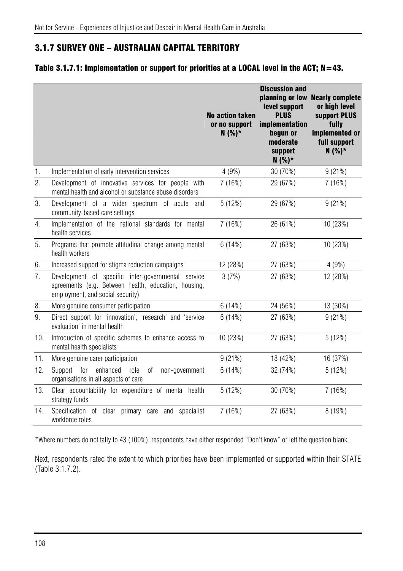# 3.1.7 SURVEY ONE – AUSTRALIAN CAPITAL TERRITORY

### Table 3.1.7.1: Implementation or support for priorities at a LOCAL level in the ACT; N=43.

|                |                                                                                                                                                | <b>No action taken</b><br>or no support<br>$N(%)*$ | <b>Discussion and</b><br>planning or low<br>level support<br><b>PLUS</b><br>implementation<br>begun or<br>moderate<br>support<br>$N(%)*$ | <b>Nearly complete</b><br>or high level<br>support PLUS<br>fully<br>implemented or<br>full support<br>$N(%)*$ |
|----------------|------------------------------------------------------------------------------------------------------------------------------------------------|----------------------------------------------------|------------------------------------------------------------------------------------------------------------------------------------------|---------------------------------------------------------------------------------------------------------------|
| 1.             | Implementation of early intervention services                                                                                                  | 4(9%)                                              | 30 (70%)                                                                                                                                 | 9(21%)                                                                                                        |
| 2.             | Development of innovative services for people with<br>mental health and alcohol or substance abuse disorders                                   | 7(16%)                                             | 29 (67%)                                                                                                                                 | 7(16%)                                                                                                        |
| 3.             | Development of a wider spectrum of acute<br>and<br>community-based care settings                                                               | 5(12%)                                             | 29 (67%)                                                                                                                                 | 9(21%)                                                                                                        |
| 4.             | Implementation of the national standards for mental<br>health services                                                                         | 7(16%)                                             | 26 (61%)                                                                                                                                 | 10 (23%)                                                                                                      |
| 5.             | Programs that promote attitudinal change among mental<br>health workers                                                                        | 6(14%)                                             | 27 (63%)                                                                                                                                 | 10 (23%)                                                                                                      |
| 6.             | Increased support for stigma reduction campaigns                                                                                               | 12 (28%)                                           | 27 (63%)                                                                                                                                 | 4(9%)                                                                                                         |
| 7 <sub>1</sub> | Development of specific inter-governmental service<br>agreements (e.g. Between health, education, housing,<br>employment, and social security) | 3(7%)                                              | 27 (63%)                                                                                                                                 | 12 (28%)                                                                                                      |
| 8.             | More genuine consumer participation                                                                                                            | 6(14%)                                             | 24 (56%)                                                                                                                                 | 13 (30%)                                                                                                      |
| 9.             | Direct support for 'innovation', 'research' and 'service<br>evaluation' in mental health                                                       | 6(14%)                                             | 27 (63%)                                                                                                                                 | 9(21%)                                                                                                        |
| 10.            | Introduction of specific schemes to enhance access to<br>mental health specialists                                                             | 10 (23%)                                           | 27 (63%)                                                                                                                                 | 5(12%)                                                                                                        |
| 11.            | More genuine carer participation                                                                                                               | 9(21%)                                             | 18 (42%)                                                                                                                                 | 16 (37%)                                                                                                      |
| 12.            | for<br>enhanced<br>Support<br>role<br>0f<br>non-government<br>organisations in all aspects of care                                             | 6(14%)                                             | 32 (74%)                                                                                                                                 | 5(12%)                                                                                                        |
| 13.            | Clear accountability for expenditure of mental health<br>strategy funds                                                                        | 5(12%)                                             | 30 (70%)                                                                                                                                 | 7(16%)                                                                                                        |
| 14.            | Specification of clear primary care and specialist<br>workforce roles                                                                          | 7(16%)                                             | 27 (63%)                                                                                                                                 | 8 (19%)                                                                                                       |

\*Where numbers do not tally to 43 (100%), respondents have either responded "Don't know" or left the question blank.

Next, respondents rated the extent to which priorities have been implemented or supported within their STATE (Table 3.1.7.2).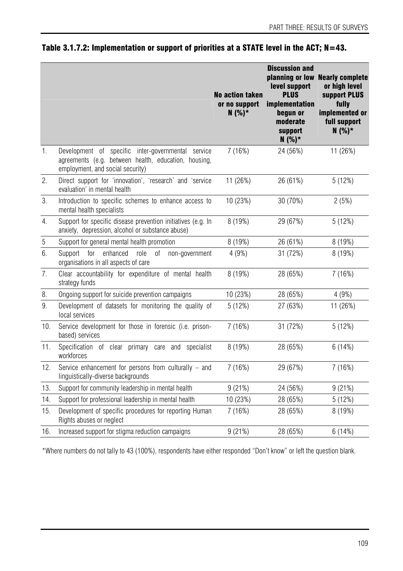|                |                                                                                                                                                | <b>No action taken</b><br>or no support<br>$N(%)*$ | <b>Discussion and</b><br>level support<br><b>PLUS</b><br>implementation<br>beaun or<br>moderate<br>support<br>$N(%)*$ | planning or low Nearly complete<br>or high level<br>support PLUS<br>fully<br>implemented or<br>full support<br>$N(%)*$ |
|----------------|------------------------------------------------------------------------------------------------------------------------------------------------|----------------------------------------------------|-----------------------------------------------------------------------------------------------------------------------|------------------------------------------------------------------------------------------------------------------------|
| $\mathbf{1}$ . | Development of specific inter-governmental service<br>agreements (e.g. between health, education, housing,<br>employment, and social security) | 7(16%)                                             | 24 (56%)                                                                                                              | 11 (26%)                                                                                                               |
| 2.             | Direct support for 'innovation', 'research' and 'service<br>evaluation' in mental health                                                       | 11 (26%)                                           | 26 (61%)                                                                                                              | 5(12%)                                                                                                                 |
| 3.             | Introduction to specific schemes to enhance access to<br>mental health specialists                                                             | 10 (23%)                                           | 30 (70%)                                                                                                              | 2(5%)                                                                                                                  |
| 4.             | Support for specific disease prevention initiatives (e.g. In<br>anxiety, depression, alcohol or substance abuse)                               | 8 (19%)                                            | 29 (67%)                                                                                                              | 5(12%)                                                                                                                 |
| $5\,$          | Support for general mental health promotion                                                                                                    | 8(19%)                                             | 26 (61%)                                                                                                              | 8(19%)                                                                                                                 |
| 6.             | for<br>enhanced<br>Support<br>role<br>0f<br>non-government<br>organisations in all aspects of care                                             | 4(9%)                                              | 31 (72%)                                                                                                              | 8 (19%)                                                                                                                |
| 7.             | Clear accountability for expenditure of mental health<br>strategy funds                                                                        | 8 (19%)                                            | 28 (65%)                                                                                                              | 7(16%)                                                                                                                 |
| 8.             | Ongoing support for suicide prevention campaigns                                                                                               | 10 (23%)                                           | 28 (65%)                                                                                                              | 4(9%)                                                                                                                  |
| 9.             | Development of datasets for monitoring the quality of<br>local services                                                                        | 5(12%)                                             | 27 (63%)                                                                                                              | 11 (26%)                                                                                                               |
| 10.            | Service development for those in forensic (i.e. prison-<br>based) services                                                                     | 7(16%)                                             | 31 (72%)                                                                                                              | 5(12%)                                                                                                                 |
| 11.            | Specification of clear primary care and specialist<br>workforces                                                                               | 8 (19%)                                            | 28 (65%)                                                                                                              | 6(14%)                                                                                                                 |
| 12.            | Service enhancement for persons from culturally - and<br>linguistically-diverse backgrounds                                                    | 7(16%)                                             | 29 (67%)                                                                                                              | 7(16%)                                                                                                                 |
| 13.            | Support for community leadership in mental health                                                                                              | 9(21%)                                             | 24 (56%)                                                                                                              | 9(21%)                                                                                                                 |
| 14.            | Support for professional leadership in mental health                                                                                           | 10 (23%)                                           | 28 (65%)                                                                                                              | 5(12%)                                                                                                                 |
| 15.            | Development of specific procedures for reporting Human<br>Rights abuses or neglect                                                             | 7(16%)                                             | 28 (65%)                                                                                                              | 8 (19%)                                                                                                                |
| 16.            | Increased support for stigma reduction campaigns                                                                                               | 9(21%)                                             | 28 (65%)                                                                                                              | 6(14%)                                                                                                                 |

## Table 3.1.7.2: Implementation or support of priorities at a STATE level in the ACT; N=43.

\*Where numbers do not tally to 43 (100%), respondents have either responded "Don't know" or left the question blank.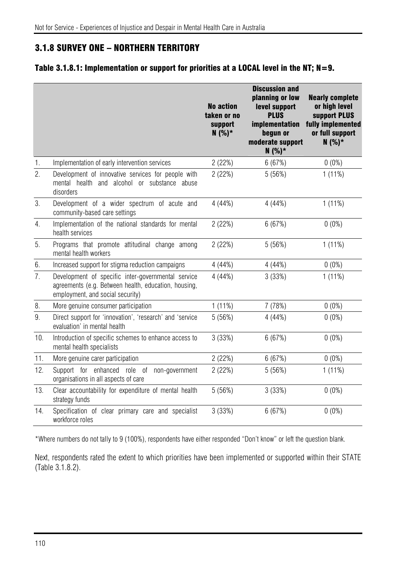## 3.1.8 SURVEY ONE – NORTHERN TERRITORY

#### Table 3.1.8.1: Implementation or support for priorities at a LOCAL level in the NT; N=9.

|                |                                                                                                                                                | <b>No action</b><br>taken or no<br>support<br>$N(%)^*$ | <b>Discussion and</b><br>planning or low<br>level support<br><b>PLUS</b><br>implementation<br>begun or<br>moderate support<br>$N(%)^*$ | <b>Nearly complete</b><br>or high level<br>support PLUS<br>fully implemented<br>or full support<br>$N(%)*$ |
|----------------|------------------------------------------------------------------------------------------------------------------------------------------------|--------------------------------------------------------|----------------------------------------------------------------------------------------------------------------------------------------|------------------------------------------------------------------------------------------------------------|
| 1.             | Implementation of early intervention services                                                                                                  | 2(22%)                                                 | 6(67%)                                                                                                                                 | $0(0\%)$                                                                                                   |
| 2.             | Development of innovative services for people with<br>mental health and alcohol or substance abuse<br>disorders                                | 2(22%)                                                 | 5(56%)                                                                                                                                 | $1(11\%)$                                                                                                  |
| 3.             | Development of a wider spectrum of acute and<br>community-based care settings                                                                  | 4(44%)                                                 | 4(44%)                                                                                                                                 | $1(11\%)$                                                                                                  |
| 4.             | Implementation of the national standards for mental<br>health services                                                                         | 2(22%)                                                 | 6(67%)                                                                                                                                 | $0(0\%)$                                                                                                   |
| 5.             | Programs that promote attitudinal change among<br>mental health workers                                                                        | 2(22%)                                                 | 5(56%)                                                                                                                                 | $1(11\%)$                                                                                                  |
| 6.             | Increased support for stigma reduction campaigns                                                                                               | 4(44%)                                                 | 4(44%)                                                                                                                                 | $0(0\%)$                                                                                                   |
| 7 <sup>1</sup> | Development of specific inter-governmental service<br>agreements (e.g. Between health, education, housing,<br>employment, and social security) | 4(44%)                                                 | 3(33%)                                                                                                                                 | $1(11\%)$                                                                                                  |
| 8.             | More genuine consumer participation                                                                                                            | 1(11%)                                                 | 7 (78%)                                                                                                                                | $0(0\%)$                                                                                                   |
| 9.             | Direct support for 'innovation', 'research' and 'service<br>evaluation' in mental health                                                       | 5(56%)                                                 | 4(44%)                                                                                                                                 | $0(0\%)$                                                                                                   |
| 10.            | Introduction of specific schemes to enhance access to<br>mental health specialists                                                             | 3 (33%)                                                | 6(67%)                                                                                                                                 | $0(0\%)$                                                                                                   |
| 11.            | More genuine carer participation                                                                                                               | 2(22%)                                                 | 6(67%)                                                                                                                                 | $0(0\%)$                                                                                                   |
| 12.            | Support for enhanced role of non-government<br>organisations in all aspects of care                                                            | 2(22%)                                                 | 5(56%)                                                                                                                                 | $1(11\%)$                                                                                                  |
| 13.            | Clear accountability for expenditure of mental health<br>strategy funds                                                                        | 5(56%)                                                 | 3(33%)                                                                                                                                 | $0(0\%)$                                                                                                   |
| 14.            | Specification of clear primary care and specialist<br>workforce roles                                                                          | 3 (33%)                                                | 6(67%)                                                                                                                                 | $0(0\%)$                                                                                                   |

\*Where numbers do not tally to 9 (100%), respondents have either responded "Don't know" or left the question blank.

Next, respondents rated the extent to which priorities have been implemented or supported within their STATE (Table 3.1.8.2).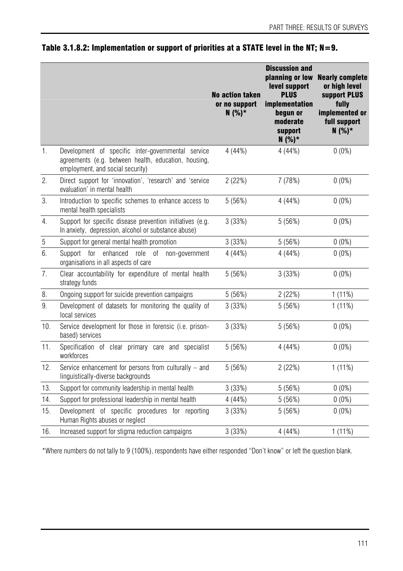|                  |                                                                                                                                                | <b>No action taken</b><br>or no support<br>$N(%)*$ | <b>Discussion and</b><br>planning or low<br>level support<br><b>PLUS</b><br>implementation<br>begun or<br>moderate<br>support<br>$N(%)^*$ | <b>Nearly complete</b><br>or high level<br>support PLUS<br>fully<br>implemented or<br>full support<br>$N(%)*$ |
|------------------|------------------------------------------------------------------------------------------------------------------------------------------------|----------------------------------------------------|-------------------------------------------------------------------------------------------------------------------------------------------|---------------------------------------------------------------------------------------------------------------|
| $\mathbf{1}$ .   | Development of specific inter-governmental service<br>agreements (e.g. between health, education, housing,<br>employment, and social security) | 4(44%)                                             | 4(44%)                                                                                                                                    | $0(0\%)$                                                                                                      |
| 2.               | Direct support for 'innovation', 'research' and 'service<br>evaluation' in mental health                                                       | 2(22%)                                             | 7 (78%)                                                                                                                                   | $0(0\%)$                                                                                                      |
| 3.               | Introduction to specific schemes to enhance access to<br>mental health specialists                                                             | 5(56%)                                             | 4(44%)                                                                                                                                    | $0(0\%)$                                                                                                      |
| $\overline{4}$ . | Support for specific disease prevention initiatives (e.g.<br>In anxiety, depression, alcohol or substance abuse)                               | 3 (33%)                                            | 5(56%)                                                                                                                                    | $0(0\%)$                                                                                                      |
| $\overline{5}$   | Support for general mental health promotion                                                                                                    | 3(33%)                                             | 5(56%)                                                                                                                                    | $0(0\%)$                                                                                                      |
| 6.               | for<br>enhanced role of<br>Support<br>non-government<br>organisations in all aspects of care                                                   | 4 (44%)                                            | 4(44%)                                                                                                                                    | $0(0\%)$                                                                                                      |
| 7.               | Clear accountability for expenditure of mental health<br>strategy funds                                                                        | 5(56%)                                             | 3(33%)                                                                                                                                    | $0(0\%)$                                                                                                      |
| 8.               | Ongoing support for suicide prevention campaigns                                                                                               | 5(56%)                                             | 2(22%)                                                                                                                                    | 1(11%)                                                                                                        |
| 9.               | Development of datasets for monitoring the quality of<br>local services                                                                        | 3 (33%)                                            | 5(56%)                                                                                                                                    | 1(11%)                                                                                                        |
| 10.              | Service development for those in forensic (i.e. prison-<br>based) services                                                                     | 3(33%)                                             | 5(56%)                                                                                                                                    | $0(0\%)$                                                                                                      |
| 11.              | Specification of clear primary care and specialist<br>workforces                                                                               | 5 (56%)                                            | 4(44%)                                                                                                                                    | $0(0\%)$                                                                                                      |
| 12.              | Service enhancement for persons from culturally - and<br>linguistically-diverse backgrounds                                                    | 5(56%)                                             | 2(22%)                                                                                                                                    | $1(11\%)$                                                                                                     |
| 13.              | Support for community leadership in mental health                                                                                              | 3(33%)                                             | 5(56%)                                                                                                                                    | $0(0\%)$                                                                                                      |
| 14.              | Support for professional leadership in mental health                                                                                           | 4 (44%)                                            | 5(56%)                                                                                                                                    | $0(0\%)$                                                                                                      |
| 15.              | Development of specific procedures for reporting<br>Human Rights abuses or neglect                                                             | 3(33%)                                             | 5(56%)                                                                                                                                    | $0(0\%)$                                                                                                      |
| 16.              | Increased support for stigma reduction campaigns                                                                                               | 3(33%)                                             | 4(44%)                                                                                                                                    | 1(11%)                                                                                                        |

## Table 3.1.8.2: Implementation or support of priorities at a STATE level in the NT; N=9.

\*Where numbers do not tally to 9 (100%), respondents have either responded "Don't know" or left the question blank.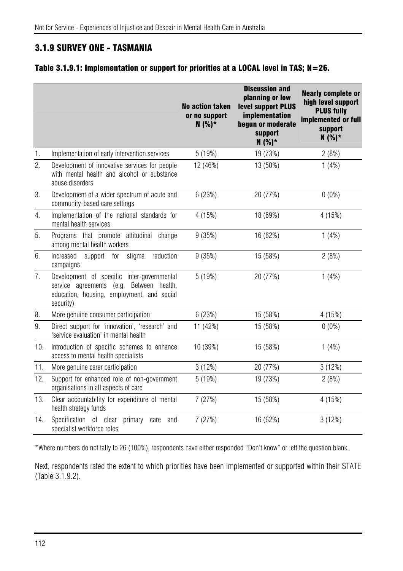# 3.1.9 SURVEY ONE - TASMANIA

### Table 3.1.9.1: Implementation or support for priorities at a LOCAL level in TAS; N=26.

|                |                                                                                                                                                   | <b>No action taken</b><br>or no support<br>$N(%)*$ | <b>Discussion and</b><br>planning or low<br>level support PLUS<br><b>implementation</b><br>begun or moderate<br>support<br>$N(%)*$ | <b>Nearly complete or</b><br>high level support<br><b>PLUS fully</b><br>implemented or full<br>support<br>$N(%)*$ |
|----------------|---------------------------------------------------------------------------------------------------------------------------------------------------|----------------------------------------------------|------------------------------------------------------------------------------------------------------------------------------------|-------------------------------------------------------------------------------------------------------------------|
| $\mathbf{1}$ . | Implementation of early intervention services                                                                                                     | 5(19%)                                             | 19 (73%)                                                                                                                           | 2(8%)                                                                                                             |
| 2.             | Development of innovative services for people<br>with mental health and alcohol or substance<br>abuse disorders                                   | 12 (46%)                                           | 13 (50%)                                                                                                                           | 1(4%)                                                                                                             |
| 3.             | Development of a wider spectrum of acute and<br>community-based care settings                                                                     | 6(23%)                                             | 20 (77%)                                                                                                                           | $0(0\%)$                                                                                                          |
| 4.             | Implementation of the national standards for<br>mental health services                                                                            | 4 (15%)                                            | 18 (69%)                                                                                                                           | 4 (15%)                                                                                                           |
| 5.             | Programs that promote attitudinal change<br>among mental health workers                                                                           | 9(35%)                                             | 16 (62%)                                                                                                                           | 1(4%)                                                                                                             |
| 6.             | stigma<br>reduction<br>Increased<br>for<br>support<br>campaigns                                                                                   | 9(35%)                                             | 15 (58%)                                                                                                                           | 2(8%)                                                                                                             |
| 7.             | Development of specific inter-governmental<br>service agreements (e.g. Between health,<br>education, housing, employment, and social<br>security) | 5 (19%)                                            | 20 (77%)                                                                                                                           | 1(4%)                                                                                                             |
| 8.             | More genuine consumer participation                                                                                                               | 6(23%)                                             | 15 (58%)                                                                                                                           | 4 (15%)                                                                                                           |
| 9.             | Direct support for 'innovation', 'research' and<br>'service evaluation' in mental health                                                          | 11 (42%)                                           | 15 (58%)                                                                                                                           | $0(0\%)$                                                                                                          |
| 10.            | Introduction of specific schemes to enhance<br>access to mental health specialists                                                                | 10 (39%)                                           | 15 (58%)                                                                                                                           | 1(4%)                                                                                                             |
| 11.            | More genuine carer participation                                                                                                                  | 3(12%)                                             | 20 (77%)                                                                                                                           | 3(12%)                                                                                                            |
| 12.            | Support for enhanced role of non-government<br>organisations in all aspects of care                                                               | 5 (19%)                                            | 19 (73%)                                                                                                                           | 2(8%)                                                                                                             |
| 13.            | Clear accountability for expenditure of mental<br>health strategy funds                                                                           | 7(27%)                                             | 15 (58%)                                                                                                                           | 4 (15%)                                                                                                           |
| 14.            | Specification of clear<br>primary<br>care<br>and<br>specialist workforce roles                                                                    | 7(27%)                                             | 16 (62%)                                                                                                                           | 3(12%)                                                                                                            |

\*Where numbers do not tally to 26 (100%), respondents have either responded "Don't know" or left the question blank.

Next, respondents rated the extent to which priorities have been implemented or supported within their STATE (Table 3.1.9.2).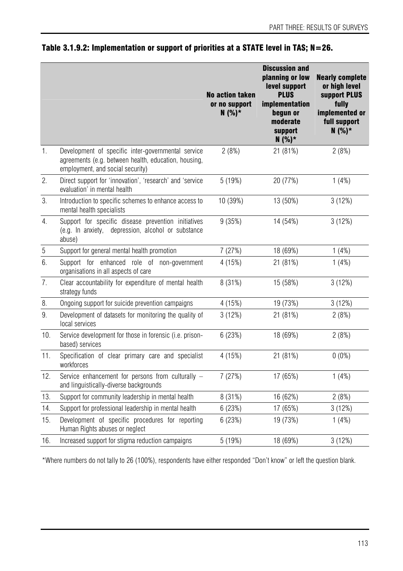|                  |                                                                                                                                                | <b>No action taken</b><br>or no support<br>$N(%)*$ | <b>Discussion and</b><br>planning or low<br>level support<br><b>PLUS</b><br>implementation<br>begun or<br>moderate<br>support<br>$N(%)*$ | <b>Nearly complete</b><br>or high level<br>support PLUS<br>fully<br>implemented or<br>full support<br>$N(%)*$ |
|------------------|------------------------------------------------------------------------------------------------------------------------------------------------|----------------------------------------------------|------------------------------------------------------------------------------------------------------------------------------------------|---------------------------------------------------------------------------------------------------------------|
| 1.               | Development of specific inter-governmental service<br>agreements (e.g. between health, education, housing,<br>employment, and social security) | 2(8%)                                              | 21 (81%)                                                                                                                                 | 2(8%)                                                                                                         |
| 2.               | Direct support for 'innovation', 'research' and 'service<br>evaluation' in mental health                                                       | 5(19%)                                             | 20 (77%)                                                                                                                                 | 1(4%)                                                                                                         |
| 3.               | Introduction to specific schemes to enhance access to<br>mental health specialists                                                             | 10 (39%)                                           | 13 (50%)                                                                                                                                 | 3(12%)                                                                                                        |
| 4.               | Support for specific disease prevention initiatives<br>(e.g. In anxiety, depression, alcohol or substance<br>abuse)                            | 9(35%)                                             | 14 (54%)                                                                                                                                 | 3(12%)                                                                                                        |
| $\sqrt{5}$       | Support for general mental health promotion                                                                                                    | 7(27%)                                             | 18 (69%)                                                                                                                                 | 1(4%)                                                                                                         |
| 6.               | Support for enhanced role of non-government<br>organisations in all aspects of care                                                            | 4 (15%)                                            | 21 (81%)                                                                                                                                 | 1(4%)                                                                                                         |
| $\overline{7}$ . | Clear accountability for expenditure of mental health<br>strategy funds                                                                        | 8 (31%)                                            | 15 (58%)                                                                                                                                 | 3(12%)                                                                                                        |
| 8.               | Ongoing support for suicide prevention campaigns                                                                                               | 4 (15%)                                            | 19 (73%)                                                                                                                                 | 3(12%)                                                                                                        |
| 9.               | Development of datasets for monitoring the quality of<br>local services                                                                        | 3(12%)                                             | 21 (81%)                                                                                                                                 | 2(8%)                                                                                                         |
| 10.              | Service development for those in forensic (i.e. prison-<br>based) services                                                                     | 6(23%)                                             | 18 (69%)                                                                                                                                 | 2(8%)                                                                                                         |
| 11.              | Specification of clear primary care and specialist<br>workforces                                                                               | 4 (15%)                                            | 21 (81%)                                                                                                                                 | $0(0\%)$                                                                                                      |
| 12.              | Service enhancement for persons from culturally -<br>and linguistically-diverse backgrounds                                                    | 7 (27%)                                            | 17 (65%)                                                                                                                                 | 1(4%)                                                                                                         |
| 13.              | Support for community leadership in mental health                                                                                              | 8 (31%)                                            | 16 (62%)                                                                                                                                 | 2(8%)                                                                                                         |
| 14.              | Support for professional leadership in mental health                                                                                           | 6(23%)                                             | 17 (65%)                                                                                                                                 | 3(12%)                                                                                                        |
| 15.              | Development of specific procedures for reporting<br>Human Rights abuses or neglect                                                             | 6(23%)                                             | 19 (73%)                                                                                                                                 | 1(4%)                                                                                                         |
| 16.              | Increased support for stigma reduction campaigns                                                                                               | 5 (19%)                                            | 18 (69%)                                                                                                                                 | 3(12%)                                                                                                        |

## Table 3.1.9.2: Implementation or support of priorities at a STATE level in TAS; N=26.

\*Where numbers do not tally to 26 (100%), respondents have either responded "Don't know" or left the question blank.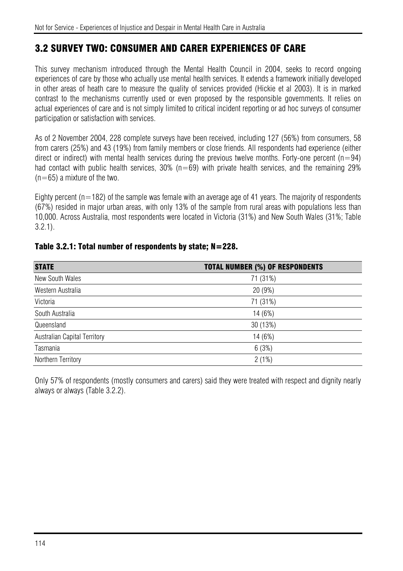# 3.2 SURVEY TWO: CONSUMER AND CARER EXPERIENCES OF CARE

This survey mechanism introduced through the Mental Health Council in 2004, seeks to record ongoing experiences of care by those who actually use mental health services. It extends a framework initially developed in other areas of heath care to measure the quality of services provided (Hickie et al 2003). It is in marked contrast to the mechanisms currently used or even proposed by the responsible governments. It relies on actual experiences of care and is not simply limited to critical incident reporting or ad hoc surveys of consumer participation or satisfaction with services.

As of 2 November 2004, 228 complete surveys have been received, including 127 (56%) from consumers, 58 from carers (25%) and 43 (19%) from family members or close friends. All respondents had experience (either direct or indirect) with mental health services during the previous twelve months. Forty-one percent ( $n=94$ ) had contact with public health services,  $30\%$  (n=69) with private health services, and the remaining 29%  $(n=65)$  a mixture of the two.

Eighty percent ( $n=182$ ) of the sample was female with an average age of 41 years. The majority of respondents (67%) resided in major urban areas, with only 13% of the sample from rural areas with populations less than 10,000. Across Australia, most respondents were located in Victoria (31%) and New South Wales (31%; Table 3.2.1).

| <b>STATE</b>                 | <b>TOTAL NUMBER (%) OF RESPONDENTS</b> |
|------------------------------|----------------------------------------|
| New South Wales              | 71 (31%)                               |
| Western Australia            | 20 (9%)                                |
| Victoria                     | 71 (31%)                               |
| South Australia              | 14 (6%)                                |
| Queensland                   | 30 (13%)                               |
| Australian Capital Territory | 14 (6%)                                |
| Tasmania                     | 6(3%)                                  |
| Northern Territory           | 2(1%)                                  |

#### Table 3.2.1: Total number of respondents by state; N=228.

Only 57% of respondents (mostly consumers and carers) said they were treated with respect and dignity nearly always or always (Table 3.2.2).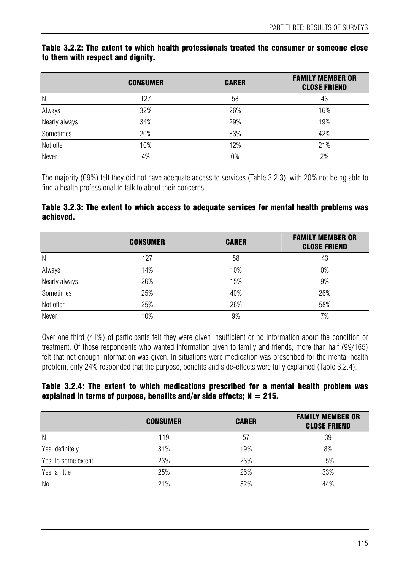#### Table 3.2.2: The extent to which health professionals treated the consumer or someone close to them with respect and dignity.

|               | <b>CONSUMER</b> | <b>CARER</b> | <b>FAMILY MEMBER OR</b><br><b>CLOSE FRIEND</b> |
|---------------|-----------------|--------------|------------------------------------------------|
| N             | 127             | 58           | 43                                             |
| Always        | 32%             | 26%          | 16%                                            |
| Nearly always | 34%             | 29%          | 19%                                            |
| Sometimes     | 20%             | 33%          | 42%                                            |
| Not often     | 10%             | 12%          | 21%                                            |
| Never         | 4%              | 0%           | 2%                                             |

The majority (69%) felt they did not have adequate access to services (Table 3.2.3), with 20% not being able to find a health professional to talk to about their concerns.

#### Table 3.2.3: The extent to which access to adequate services for mental health problems was achieved.

|               | <b>CONSUMER</b> | <b>CARER</b> | <b>FAMILY MEMBER OR</b><br><b>CLOSE FRIEND</b> |
|---------------|-----------------|--------------|------------------------------------------------|
| N             | 127             | 58           | 43                                             |
| Always        | 14%             | 10%          | 0%                                             |
| Nearly always | 26%             | 15%          | 9%                                             |
| Sometimes     | 25%             | 40%          | 26%                                            |
| Not often     | 25%             | 26%          | 58%                                            |
| Never         | 10%             | 9%           | 7%                                             |

Over one third (41%) of participants felt they were given insufficient or no information about the condition or treatment. Of those respondents who wanted information given to family and friends, more than half (99/165) felt that not enough information was given. In situations were medication was prescribed for the mental health problem, only 24% responded that the purpose, benefits and side-effects were fully explained (Table 3.2.4).

#### Table 3.2.4: The extent to which medications prescribed for a mental health problem was explained in terms of purpose, benefits and/or side effects;  $N = 215$ .

|                     | <b>CONSUMER</b> | <b>CARER</b> | <b>FAMILY MEMBER OR</b><br><b>CLOSE FRIEND</b> |
|---------------------|-----------------|--------------|------------------------------------------------|
| N                   | 119             | 57           | 39                                             |
| Yes, definitely     | 31%             | 19%          | 8%                                             |
| Yes, to some extent | 23%             | 23%          | 15%                                            |
| Yes, a little       | 25%             | 26%          | 33%                                            |
| N <sub>0</sub>      | 21%             | 32%          | 44%                                            |